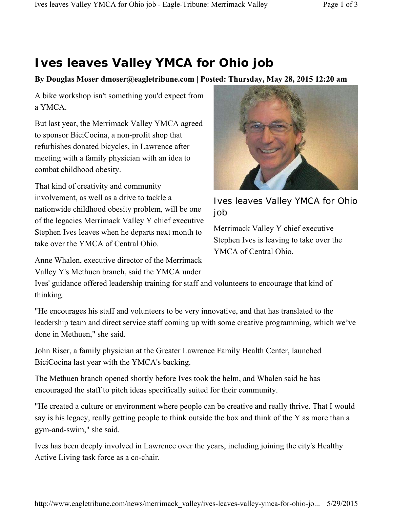## **Ives leaves Valley YMCA for Ohio job**

## **By Douglas Moser dmoser@eagletribune.com | Posted: Thursday, May 28, 2015 12:20 am**

A bike workshop isn't something you'd expect from a YMCA.

But last year, the Merrimack Valley YMCA agreed to sponsor BiciCocina, a non-profit shop that refurbishes donated bicycles, in Lawrence after meeting with a family physician with an idea to combat childhood obesity.

That kind of creativity and community involvement, as well as a drive to tackle a nationwide childhood obesity problem, will be one of the legacies Merrimack Valley Y chief executive Stephen Ives leaves when he departs next month to take over the YMCA of Central Ohio.

Anne Whalen, executive director of the Merrimack Valley Y's Methuen branch, said the YMCA under



Ives leaves Valley YMCA for Ohio job

Merrimack Valley Y chief executive Stephen Ives is leaving to take over the YMCA of Central Ohio.

Ives' guidance offered leadership training for staff and volunteers to encourage that kind of thinking.

"He encourages his staff and volunteers to be very innovative, and that has translated to the leadership team and direct service staff coming up with some creative programming, which we've done in Methuen," she said.

John Riser, a family physician at the Greater Lawrence Family Health Center, launched BiciCocina last year with the YMCA's backing.

The Methuen branch opened shortly before Ives took the helm, and Whalen said he has encouraged the staff to pitch ideas specifically suited for their community.

"He created a culture or environment where people can be creative and really thrive. That I would say is his legacy, really getting people to think outside the box and think of the Y as more than a gym-and-swim," she said.

Ives has been deeply involved in Lawrence over the years, including joining the city's Healthy Active Living task force as a co-chair.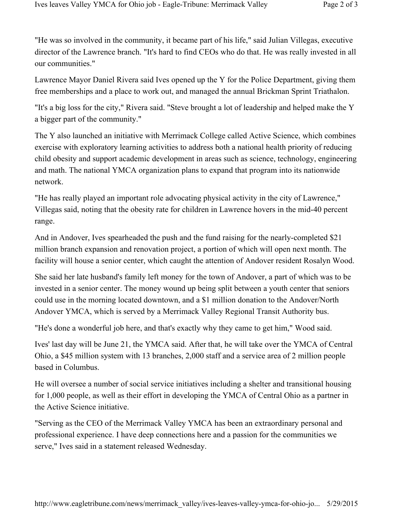"He was so involved in the community, it became part of his life," said Julian Villegas, executive director of the Lawrence branch. "It's hard to find CEOs who do that. He was really invested in all our communities."

Lawrence Mayor Daniel Rivera said Ives opened up the Y for the Police Department, giving them free memberships and a place to work out, and managed the annual Brickman Sprint Triathalon.

"It's a big loss for the city," Rivera said. "Steve brought a lot of leadership and helped make the Y a bigger part of the community."

The Y also launched an initiative with Merrimack College called Active Science, which combines exercise with exploratory learning activities to address both a national health priority of reducing child obesity and support academic development in areas such as science, technology, engineering and math. The national YMCA organization plans to expand that program into its nationwide network.

"He has really played an important role advocating physical activity in the city of Lawrence," Villegas said, noting that the obesity rate for children in Lawrence hovers in the mid-40 percent range.

And in Andover, Ives spearheaded the push and the fund raising for the nearly-completed \$21 million branch expansion and renovation project, a portion of which will open next month. The facility will house a senior center, which caught the attention of Andover resident Rosalyn Wood.

She said her late husband's family left money for the town of Andover, a part of which was to be invested in a senior center. The money wound up being split between a youth center that seniors could use in the morning located downtown, and a \$1 million donation to the Andover/North Andover YMCA, which is served by a Merrimack Valley Regional Transit Authority bus.

"He's done a wonderful job here, and that's exactly why they came to get him," Wood said.

Ives' last day will be June 21, the YMCA said. After that, he will take over the YMCA of Central Ohio, a \$45 million system with 13 branches, 2,000 staff and a service area of 2 million people based in Columbus.

He will oversee a number of social service initiatives including a shelter and transitional housing for 1,000 people, as well as their effort in developing the YMCA of Central Ohio as a partner in the Active Science initiative.

"Serving as the CEO of the Merrimack Valley YMCA has been an extraordinary personal and professional experience. I have deep connections here and a passion for the communities we serve," Ives said in a statement released Wednesday.